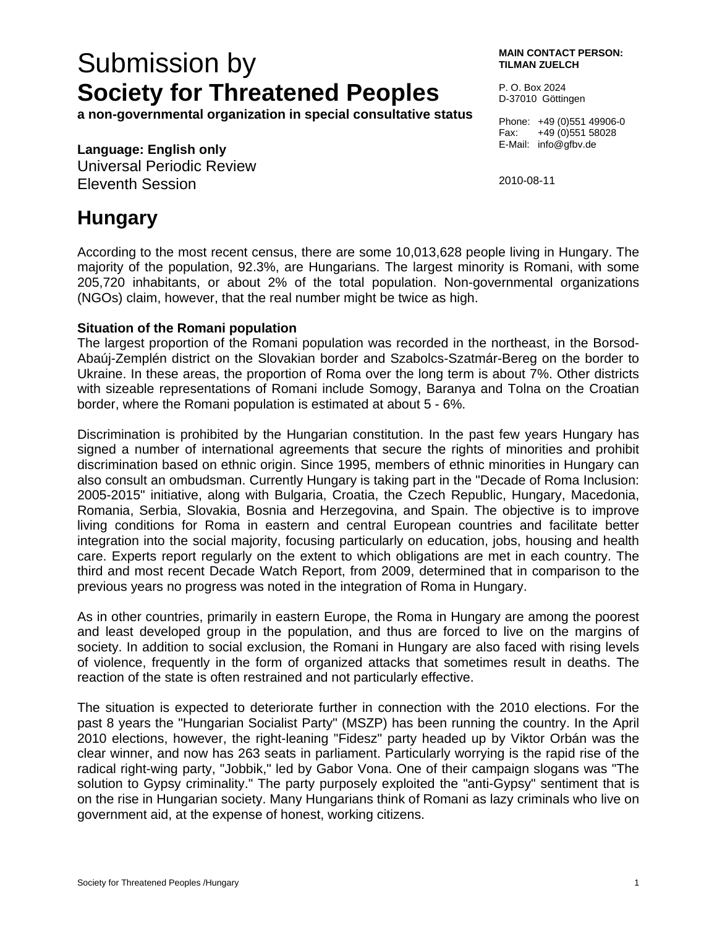# Submission by **Society for Threatened Peoples**

**a non-governmental organization in special consultative status** 

### **Language: English only**

Universal Periodic Review Eleventh Session

#### **MAIN CONTACT PERSON: TILMAN ZUELCH**

P. O. Box 2024 D-37010 Göttingen

Phone: +49 (0)551 49906-0 Fax: +49 (0)551 58028 E-Mail: info@gfbv.de

2010-08-11

## **Hungary**

According to the most recent census, there are some 10,013,628 people living in Hungary. The majority of the population, 92.3%, are Hungarians. The largest minority is Romani, with some 205,720 inhabitants, or about 2% of the total population. Non-governmental organizations (NGOs) claim, however, that the real number might be twice as high.

#### **Situation of the Romani population**

The largest proportion of the Romani population was recorded in the northeast, in the Borsod-Abaúj-Zemplén district on the Slovakian border and Szabolcs-Szatmár-Bereg on the border to Ukraine. In these areas, the proportion of Roma over the long term is about 7%. Other districts with sizeable representations of Romani include Somogy, Baranya and Tolna on the Croatian border, where the Romani population is estimated at about 5 - 6%.

Discrimination is prohibited by the Hungarian constitution. In the past few years Hungary has signed a number of international agreements that secure the rights of minorities and prohibit discrimination based on ethnic origin. Since 1995, members of ethnic minorities in Hungary can also consult an ombudsman. Currently Hungary is taking part in the "Decade of Roma Inclusion: 2005-2015" initiative, along with Bulgaria, Croatia, the Czech Republic, Hungary, Macedonia, Romania, Serbia, Slovakia, Bosnia and Herzegovina, and Spain. The objective is to improve living conditions for Roma in eastern and central European countries and facilitate better integration into the social majority, focusing particularly on education, jobs, housing and health care. Experts report regularly on the extent to which obligations are met in each country. The third and most recent Decade Watch Report, from 2009, determined that in comparison to the previous years no progress was noted in the integration of Roma in Hungary.

As in other countries, primarily in eastern Europe, the Roma in Hungary are among the poorest and least developed group in the population, and thus are forced to live on the margins of society. In addition to social exclusion, the Romani in Hungary are also faced with rising levels of violence, frequently in the form of organized attacks that sometimes result in deaths. The reaction of the state is often restrained and not particularly effective.

The situation is expected to deteriorate further in connection with the 2010 elections. For the past 8 years the "Hungarian Socialist Party" (MSZP) has been running the country. In the April 2010 elections, however, the right-leaning "Fidesz" party headed up by Viktor Orbán was the clear winner, and now has 263 seats in parliament. Particularly worrying is the rapid rise of the radical right-wing party, "Jobbik," led by Gabor Vona. One of their campaign slogans was "The solution to Gypsy criminality." The party purposely exploited the "anti-Gypsy" sentiment that is on the rise in Hungarian society. Many Hungarians think of Romani as lazy criminals who live on government aid, at the expense of honest, working citizens.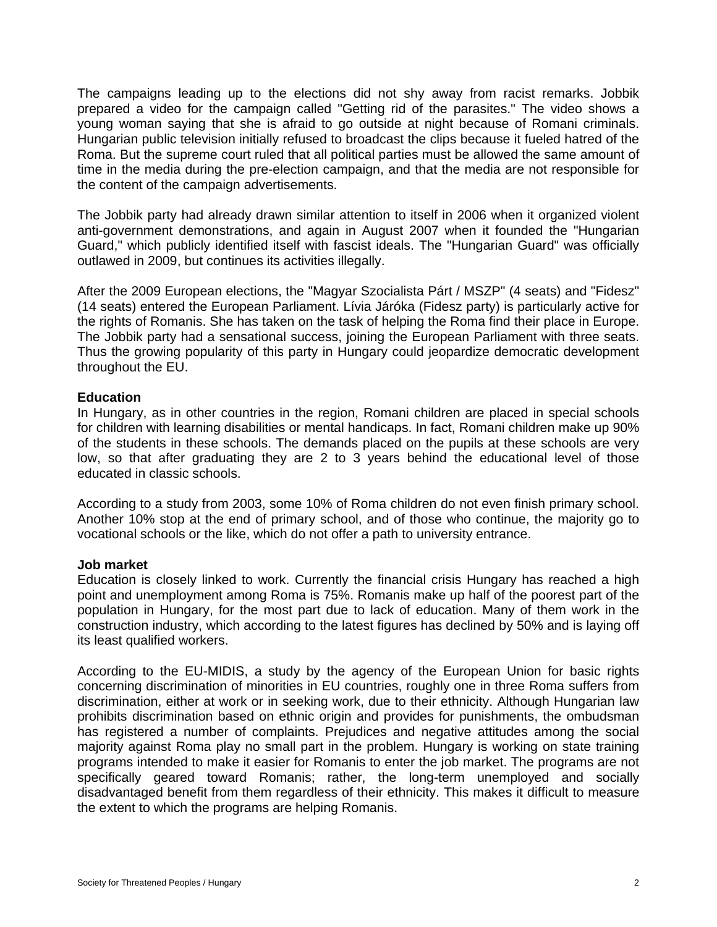The campaigns leading up to the elections did not shy away from racist remarks. Jobbik prepared a video for the campaign called "Getting rid of the parasites." The video shows a young woman saying that she is afraid to go outside at night because of Romani criminals. Hungarian public television initially refused to broadcast the clips because it fueled hatred of the Roma. But the supreme court ruled that all political parties must be allowed the same amount of time in the media during the pre-election campaign, and that the media are not responsible for the content of the campaign advertisements.

The Jobbik party had already drawn similar attention to itself in 2006 when it organized violent anti-government demonstrations, and again in August 2007 when it founded the "Hungarian Guard," which publicly identified itself with fascist ideals. The "Hungarian Guard" was officially outlawed in 2009, but continues its activities illegally.

After the 2009 European elections, the "Magyar Szocialista Párt / MSZP" (4 seats) and "Fidesz" (14 seats) entered the European Parliament. Lívia Járóka (Fidesz party) is particularly active for the rights of Romanis. She has taken on the task of helping the Roma find their place in Europe. The Jobbik party had a sensational success, joining the European Parliament with three seats. Thus the growing popularity of this party in Hungary could jeopardize democratic development throughout the EU.

#### **Education**

In Hungary, as in other countries in the region, Romani children are placed in special schools for children with learning disabilities or mental handicaps. In fact, Romani children make up 90% of the students in these schools. The demands placed on the pupils at these schools are very low, so that after graduating they are 2 to 3 years behind the educational level of those educated in classic schools.

According to a study from 2003, some 10% of Roma children do not even finish primary school. Another 10% stop at the end of primary school, and of those who continue, the majority go to vocational schools or the like, which do not offer a path to university entrance.

#### **Job market**

Education is closely linked to work. Currently the financial crisis Hungary has reached a high point and unemployment among Roma is 75%. Romanis make up half of the poorest part of the population in Hungary, for the most part due to lack of education. Many of them work in the construction industry, which according to the latest figures has declined by 50% and is laying off its least qualified workers.

According to the EU-MIDIS, a study by the agency of the European Union for basic rights concerning discrimination of minorities in EU countries, roughly one in three Roma suffers from discrimination, either at work or in seeking work, due to their ethnicity. Although Hungarian law prohibits discrimination based on ethnic origin and provides for punishments, the ombudsman has registered a number of complaints. Prejudices and negative attitudes among the social majority against Roma play no small part in the problem. Hungary is working on state training programs intended to make it easier for Romanis to enter the job market. The programs are not specifically geared toward Romanis; rather, the long-term unemployed and socially disadvantaged benefit from them regardless of their ethnicity. This makes it difficult to measure the extent to which the programs are helping Romanis.